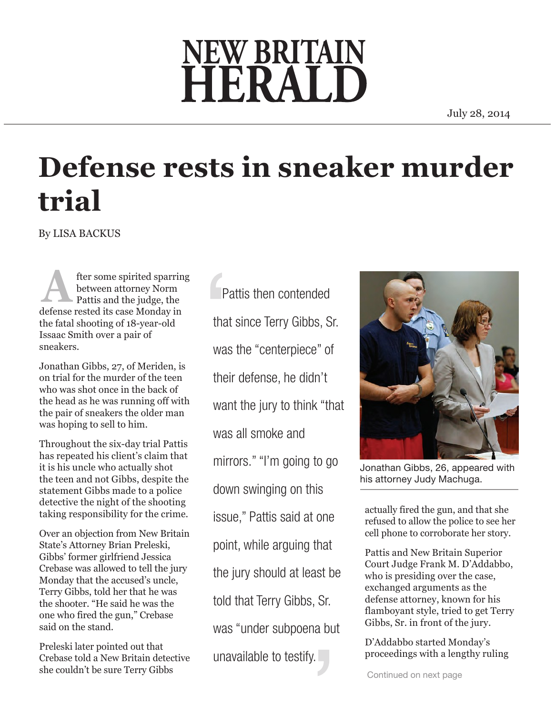## **NEW BRITAIN** HERAL

July 28, 2014

## **Defense rests in sneaker murder trial**

By LISA BACKUS

fter some spirited sparring between attorney Norm Pattis and the judge, the **defense rested its case Monday in**<br>defense rested its case Monday in the fatal shooting of 18-year-old Issaac Smith over a pair of sneakers.

Jonathan Gibbs, 27, of Meriden, is on trial for the murder of the teen who was shot once in the back of the head as he was running off with the pair of sneakers the older man was hoping to sell to him.

Throughout the six-day trial Pattis has repeated his client's claim that it is his uncle who actually shot the teen and not Gibbs, despite the statement Gibbs made to a police detective the night of the shooting taking responsibility for the crime.

Over an objection from New Britain State's Attorney Brian Preleski, Gibbs' former girlfriend Jessica Crebase was allowed to tell the jury Monday that the accused's uncle, Terry Gibbs, told her that he was the shooter. "He said he was the one who fired the gun," Crebase said on the stand.

Preleski later pointed out that Crebase told a New Britain detective she couldn't be sure Terry Gibbs

 Pattis then contended that since Terry Gibbs, Sr. was the "centerpiece" of their defense, he didn't want the jury to think "that was all smoke and mirrors." "I'm going to go down swinging on this issue," Pattis said at one point, while arguing that the jury should at least be told that Terry Gibbs, Sr. was "under subpoena but unavailable to testify.



Jonathan Gibbs, 26, appeared with his attorney Judy Machuga.

actually fired the gun, and that she refused to allow the police to see her cell phone to corroborate her story.

Pattis and New Britain Superior Court Judge Frank M. D'Addabbo, who is presiding over the case, exchanged arguments as the defense attorney, known for his flamboyant style, tried to get Terry Gibbs, Sr. in front of the jury.

D'Addabbo started Monday's proceedings with a lengthy ruling

Continued on next page